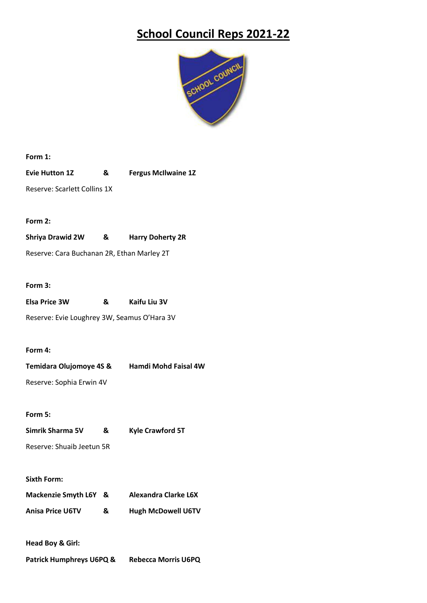# **School Council Reps 2021-22**



**Form 1:**

**Evie Hutton 1Z & Fergus McIlwaine 1Z**

Reserve: Scarlett Collins 1X

# **Form 2:**

**Shriya Drawid 2W & Harry Doherty 2R**

Reserve: Cara Buchanan 2R, Ethan Marley 2T

### **Form 3:**

| <b>Elsa Price 3W</b> | & | Kaifu Liu 3V |
|----------------------|---|--------------|
|                      |   |              |

Reserve: Evie Loughrey 3W, Seamus O'Hara 3V

#### **Form 4:**

| <b>Temidara Olujomoye 4S &amp;</b> | <b>Hamdi Mohd Faisal 4W</b> |
|------------------------------------|-----------------------------|
| Reserve: Sophia Erwin 4V           |                             |

**Form 5:**

| Simrik Sharma 5V          | & | <b>Kyle Crawford 5T</b> |
|---------------------------|---|-------------------------|
| Reserve: Shuaib Jeetun 5R |   |                         |

#### **Sixth Form:**

| Mackenzie Smyth L6Y & |   | <b>Alexandra Clarke L6X</b> |
|-----------------------|---|-----------------------------|
| Anisa Price U6TV      | & | <b>Hugh McDowell U6TV</b>   |

### **Head Boy & Girl:**

**Patrick Humphreys U6PQ & Rebecca Morris U6PQ**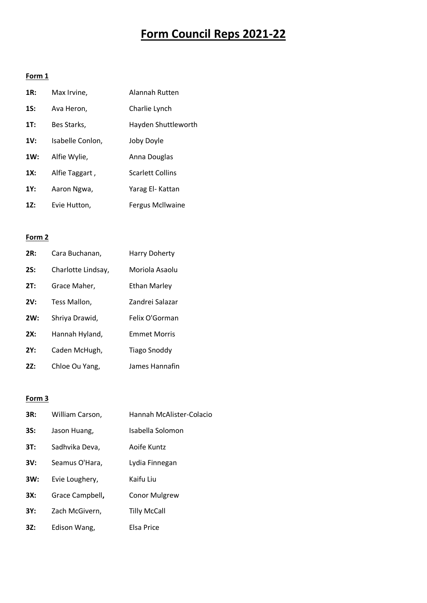# **Form Council Reps 2021-22**

# **Form 1**

| 1R: | Max Irvine,      | Alannah Rutten          |
|-----|------------------|-------------------------|
| 1S: | Ava Heron,       | Charlie Lynch           |
| 1T: | Bes Starks,      | Hayden Shuttleworth     |
| 1V: | Isabelle Conlon, | Joby Doyle              |
| 1W: | Alfie Wylie,     | Anna Douglas            |
| 1X: | Alfie Taggart,   | <b>Scarlett Collins</b> |
| 1Y: | Aaron Ngwa,      | Yarag El- Kattan        |
| 12: | Evie Hutton,     | Fergus Mcllwaine        |

### **Form 2**

| 2R: | Cara Buchanan,     | <b>Harry Doherty</b> |
|-----|--------------------|----------------------|
| 2S: | Charlotte Lindsay, | Moriola Asaolu       |
| 2T: | Grace Maher,       | Ethan Marley         |
| 2V: | Tess Mallon,       | Zandrei Salazar      |
| 2W: | Shriya Drawid,     | Felix O'Gorman       |
| 2X: | Hannah Hyland,     | <b>Emmet Morris</b>  |
| 2Y: | Caden McHugh,      | <b>Tiago Snoddy</b>  |
| 2Z: | Chloe Ou Yang,     | James Hannafin       |

# **Form 3**

| 3R: | William Carson, | Hannah McAlister-Colacio |
|-----|-----------------|--------------------------|
| 3S: | Jason Huang,    | Isabella Solomon         |
| 3T: | Sadhvika Deva,  | Aoife Kuntz              |
| 3V: | Seamus O'Hara,  | Lydia Finnegan           |
| 3W: | Evie Loughery,  | Kaifu Liu                |
| 3X: | Grace Campbell, | <b>Conor Mulgrew</b>     |
| 3Y: | Zach McGivern,  | <b>Tilly McCall</b>      |
| 3Z: | Edison Wang,    | Elsa Price               |